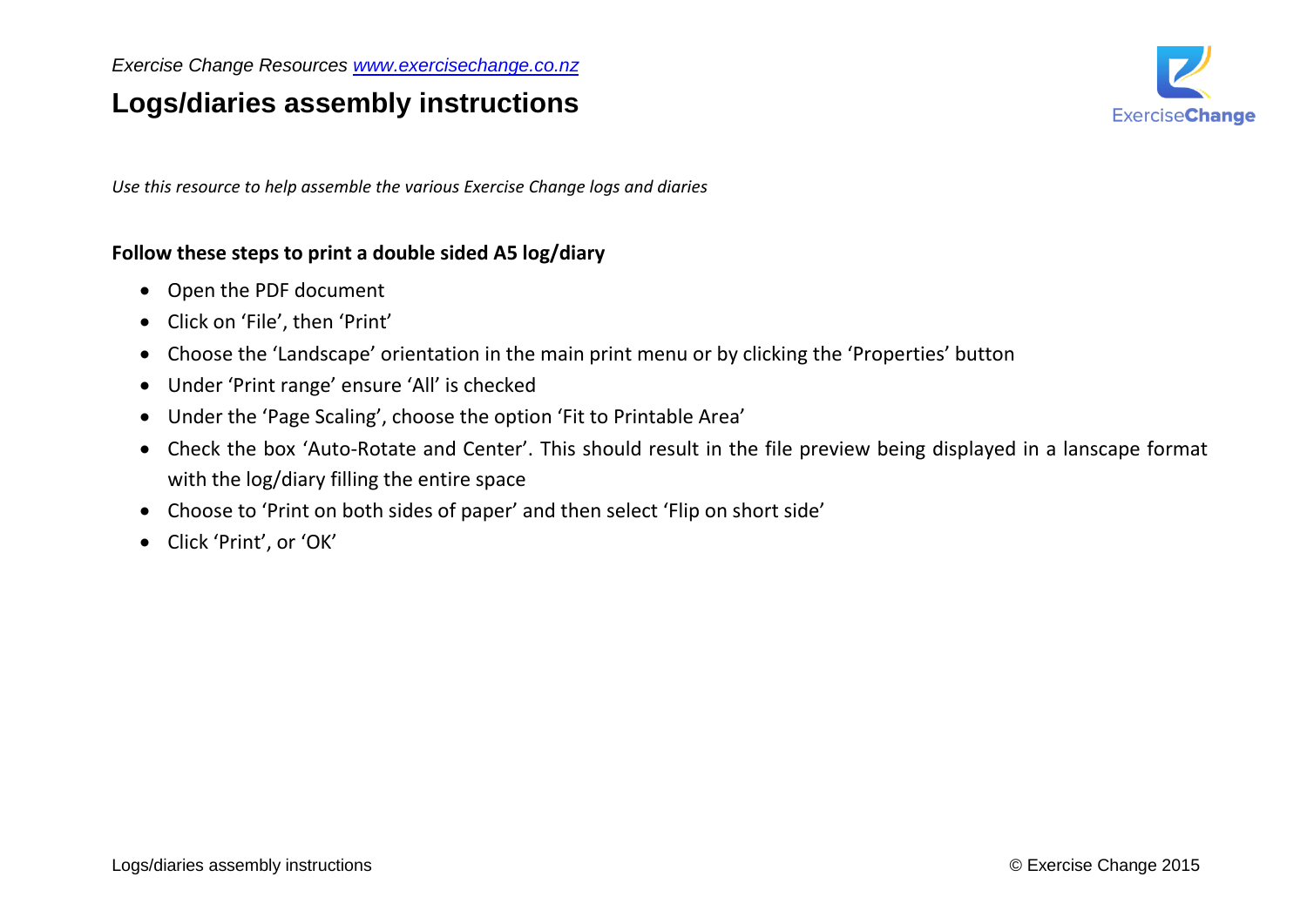## **Logs/diaries assembly instructions**



*Use this resource to help assemble the various Exercise Change logs and diaries*

## **Follow these steps to print a double sided A5 log/diary**

- Open the PDF document
- Click on 'File', then 'Print'
- Choose the 'Landscape' orientation in the main print menu or by clicking the 'Properties' button
- Under 'Print range' ensure 'All' is checked
- Under the 'Page Scaling', choose the option 'Fit to Printable Area'
- Check the box 'Auto-Rotate and Center'. This should result in the file preview being displayed in a lanscape format with the log/diary filling the entire space
- Choose to 'Print on both sides of paper' and then select 'Flip on short side'
- Click 'Print', or 'OK'